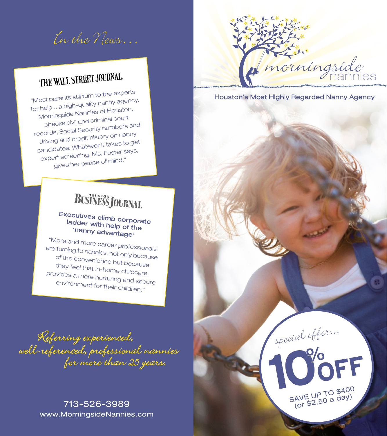In the News…

## THE WALL STREET JOURNAL.

"Most parents still turn to the experts for help... a high-quality nanny agency, Morningside Nannies of Houston, checks civil and criminal court records, Social Security numbers an<sup>d</sup> driving and credit history on nanny candidates. Whatever it takes to get expert screening, Ms. Foster says, gives her peace of mind."

# **BUSINESS JOURNAL**

### Executives climb corporate ladder with help of the 'nanny advantage'

"More and more career professionals are turning to nannies, not only because of the convenience but because they feel that in-home childcare provides a more nurturing and secure environment for their children."

Referring experienced,<br>well-referenced, professional nannies<br>for more than 25 years.

#### 713-526-3989 www.MorningsideNannies.com



#### Houston's Most Highly Regarded Nanny Agency